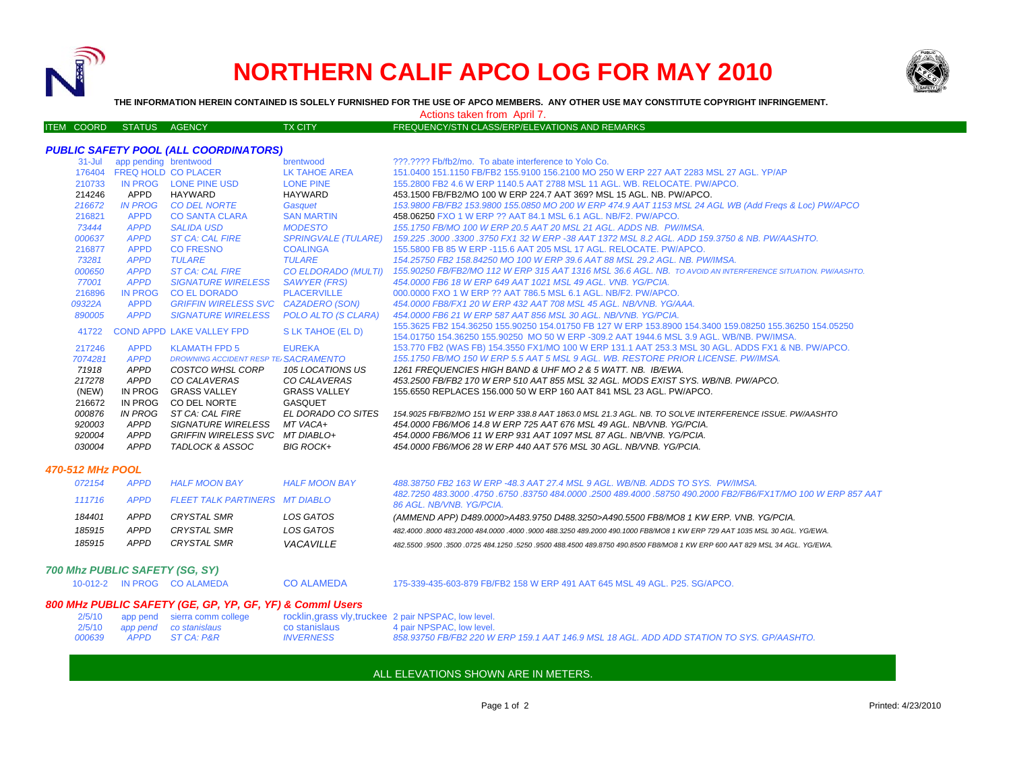

# **NORTHERN CALIF APCO LOG FOR MAY 2010**



**THE INFORMATION HEREIN CONTAINED IS SOLELY FURNISHED FOR THE USE OF APCO MEMBERS. ANY OTHER USE MAY CONSTITUTE COPYRIGHT INFRINGEMENT.**

ITEM COORD STATUS AGENCY TX CITY TIES TO PREQUENCY/STN CLASS/ERP/ELEVATIONS AND REMARKS

Actions taken from April 7.

# *PUBLIC SAFETY POOL (ALL COORDINATORS)*

| $31 -$ Jul | app pending brentwood |                                      | brentwood                  | 222.2222 Fb/fb2/mo. To abate interference to Yolo Co.                                                                           |
|------------|-----------------------|--------------------------------------|----------------------------|---------------------------------------------------------------------------------------------------------------------------------|
| 176404     |                       | <b>FREQ HOLD CO PLACER</b>           | LK TAHOE AREA              | 151.0400 151.1150 FB/FB2 155.9100 156.2100 MO 250 W ERP 227 AAT 2283 MSL 27 AGL, YP/AP                                          |
| 210733     | IN PROG               | LONE PINE USD                        | <b>LONE PINE</b>           | 155,2800 FB2 4.6 W ERP 1140.5 AAT 2788 MSL 11 AGL, WB, RELOCATE, PW/APCO,                                                       |
| 214246     | APPD                  | HAYWARD                              | HAYWARD                    | 453.1500 FB/FB2/MO 100 W ERP 224.7 AAT 369? MSL 15 AGL, NB, PW/APCO,                                                            |
| 216672     | <b>IN PROG</b>        | <b>CO DEL NORTE</b>                  | Gasquet                    | 153.9800 FB/FB2 153.9800 155.0850 MO 200 W ERP 474.9 AAT 1153 MSL 24 AGL WB (Add Freqs & Loc) PW/APCO                           |
| 216821     | <b>APPD</b>           | <b>CO SANTA CLARA</b>                | <b>SAN MARTIN</b>          | 458.06250 FXO 1 W ERP ?? AAT 84.1 MSL 6.1 AGL, NB/F2, PW/APCO.                                                                  |
| 73444      | <b>APPD</b>           | <b>SALIDA USD</b>                    | <b>MODESTO</b>             | 155.1750 FB/MO 100 W ERP 20.5 AAT 20 MSL 21 AGL, ADDS NB, PW/IMSA.                                                              |
| 000637     | <b>APPD</b>           | <b>ST CA: CAL FIRE</b>               | <b>SPRINGVALE (TULARE)</b> | 159,225,3000,3300,3750 FX1 32 W ERP -38 AAT 1372 MSL 8.2 AGL, ADD 159,3750 & NB, PW/AASHTO,                                     |
| 216877     | <b>APPD</b>           | <b>CO FRESNO</b>                     | <b>COALINGA</b>            | 155,5800 FB 85 W ERP -115.6 AAT 205 MSL 17 AGL, RELOCATE, PW/APCO.                                                              |
| 73281      | <b>APPD</b>           | TULARE                               | TULARE                     | 154.25750 FB2 158.84250 MO 100 W ERP 39.6 AAT 88 MSL 29.2 AGL. NB. PW/IMSA.                                                     |
| 000650     | <b>APPD</b>           | <b>ST CA: CAL FIRE</b>               |                            | CO ELDORADO (MULTI) 155.90250 FB/FB2/MO 112 W ERP 315 AAT 1316 MSL 36.6 AGL. NB. TO AVOID AN INTERFERENCE SITUATION. PW/AASHTO. |
| 77001      | <b>APPD</b>           | <b>SIGNATURE WIRELESS</b>            | <b>SAWYER (FRS)</b>        | 454,0000 FB6 18 W ERP 649 AAT 1021 MSL 49 AGL, VNB, YG/PCIA,                                                                    |
| 216896     | <b>IN PROG</b>        | <b>CO EL DORADO</b>                  | <b>PLACERVILLE</b>         | 000,0000 FXO 1 W ERP ?? AAT 786.5 MSL 6.1 AGL, NB/F2, PW/APCO.                                                                  |
| 09322A     | <b>APPD</b>           | GRIFFIN WIRELESS SVC CAZADERO (SON)  |                            | 454,0000 FB8/FX1 20 W ERP 432 AAT 708 MSL 45 AGL, NB/VNB, YG/AAA,                                                               |
| 890005     | <b>APPD</b>           | <b>SIGNATURE WIRELESS</b>            | POLO ALTO (S CLARA)        | 454,0000 FB6 21 W ERP 587 AAT 856 MSL 30 AGL, NB/VNB, YG/PCIA.                                                                  |
| 41722      |                       | <b>COND APPD LAKE VALLEY FPD</b>     | S LK TAHOE (EL D)          | 155,3625 FB2 154,36250 155,90250 154,01750 FB 127 W ERP 153,8900 154,3400 159,08250 155,36250 154,05250                         |
|            |                       |                                      |                            | 154.01750 154.36250 155.90250 MO 50 W ERP -309.2 AAT 1944.6 MSL 3.9 AGL. WB/NB. PW/IMSA.                                        |
| 217246     | <b>APPD</b>           | <b>KLAMATH FPD 5</b>                 | <b>EUREKA</b>              | 153.770 FB2 (WAS FB) 154.3550 FX1/MO 100 W ERP 131.1 AAT 253.3 MSL 30 AGL. ADDS FX1 & NB. PW/APCO.                              |
| 7074281    | <b>APPD</b>           | DROWNING ACCIDENT RESP TE SACRAMENTO |                            | 155.1750 FB/MO 150 W ERP 5.5 AAT 5 MSL 9 AGL. WB. RESTORE PRIOR LICENSE, PW/IMSA.                                               |
| 71918      | <b>APPD</b>           | COSTCO WHSL CORP                     | 105 LOCATIONS US           | 1261 FREQUENCIES HIGH BAND & UHF MO 2 & 5 WATT, NB. IB/EWA.                                                                     |
| 217278     | <b>APPD</b>           | CO CALAVERAS                         | CO CALAVERAS               | 453.2500 FB/FB2 170 W ERP 510 AAT 855 MSL 32 AGL. MODS EXIST SYS. WB/NB. PW/APCO.                                               |
| (NEW)      | IN PROG               | <b>GRASS VALLEY</b>                  | <b>GRASS VALLEY</b>        | 155,6550 REPLACES 156,000 50 W ERP 160 AAT 841 MSL 23 AGL, PW/APCO.                                                             |
| 216672     | IN PROG               | CO DEL NORTE                         | GASQUET                    |                                                                                                                                 |
| 000876     | IN PROG               | ST CA: CAL FIRE                      | EL DORADO CO SITES         | 154,9025 FB/FB2/MO 151 W ERP 338.8 AAT 1863.0 MSL 21.3 AGL. NB. TO SOLVE INTERFERENCE ISSUE. PW/AASHTO                          |
| 920003     | <b>APPD</b>           | <b>SIGNATURE WIRELESS</b>            | MT VACA+                   | 454,0000 FB6/MO6 14.8 W ERP 725 AAT 676 MSL 49 AGL, NB/VNB, YG/PCIA.                                                            |
| 920004     | <b>APPD</b>           | GRIFFIN WIRELESS SVC MT DIABLO+      |                            | 454.0000 FB6/MO6 11 W ERP 931 AAT 1097 MSL 87 AGL. NB/VNB. YG/PCIA.                                                             |
| 030004     | <b>APPD</b>           | TADLOCK & ASSOC                      | <b>BIG ROCK+</b>           | 454.0000 FB6/MO6 28 W ERP 440 AAT 576 MSL 30 AGL. NB/VNB. YG/PCIA.                                                              |
|            |                       |                                      |                            |                                                                                                                                 |

### *470-512 MHz POOL*

| 072154 | <b>APPD</b> | <b>HALF MOON BAY</b>           | <b>HALF MOON BAY</b> | 488.38750 FB2 163 W ERP -48.3 AAT 27.4 MSL 9 AGL, WB/NB, ADDS TO SYS, PW/IMSA.                                                             |
|--------|-------------|--------------------------------|----------------------|--------------------------------------------------------------------------------------------------------------------------------------------|
| 111716 | APPD        | FLEET TALK PARTINERS MT DIABLO |                      | 482.7250 483.3000 .4750 .6750 .83750 484.0000 .2500 489.4000 .58750 490.2000 FB2/FB6/FX1T/MO 100 W ERP 857 AAT<br>86 AGL. NB/VNB. YG/PCIA. |
| 184401 | <b>APPD</b> | CRYSTAL SMR                    | LOS GATOS            | (AMMEND APP) D489.0000>A483.9750 D488.3250>A490.5500 FB8/MO8 1 KW ERP. VNB. YG/PCIA.                                                       |
| 185915 | APPD        | CRYSTAL SMR                    | LOS GATOS            | 482,4000,8000,483,2000,484,0000,4000,9000,488,3250,489,2000,490,1000 FB8/MO8 1 KW ERP 729 AAT 1035 MSL 30 AGL, YG/EWA,                     |
| 185915 | <b>APPD</b> | CRYSTAL SMR                    | VACAVILLE            | .482,5500 ,9500 ,3500 ,0725 484,1250 ,5250 ,9500 488,4500 489,8750 490,8500 FB8/MO8 1 KW ERP 600 AAT 829 MSL 34 AGL. YG/EWA                |

#### *700 Mhz PUBLIC SAFETY (SG, SY)*

10-012-2 IN PROG CO ALAMEDA

CO ALAMEDA 175-339-435-603-879 FB/FB2 158 W ERP 491 AAT 645 MSL 49 AGL. P25. SG/APCO.

# *800 MHz PUBLIC SAFETY (GE, GP, YP, GF, YF) & Comml Users*

|               | 2/5/10 app pend sierra comm college |                  | rocklin, grass vly, truckee 2 pair NPSPAC, low level.                                     |
|---------------|-------------------------------------|------------------|-------------------------------------------------------------------------------------------|
|               | 2/5/10 app pend co stanislaus       | co stanislaus    | 4 pair NPSPAC, low level.                                                                 |
| <i>000639</i> | APPD STCA: P&R                      | <b>INVERNESS</b> | 858.93750 FB/FB2 220 W ERP 159.1 AAT 146.9 MSL 18 AGL. ADD ADD STATION TO SYS. GP/AASHTO. |

## ALL ELEVATIONS SHOWN ARE IN METERS.